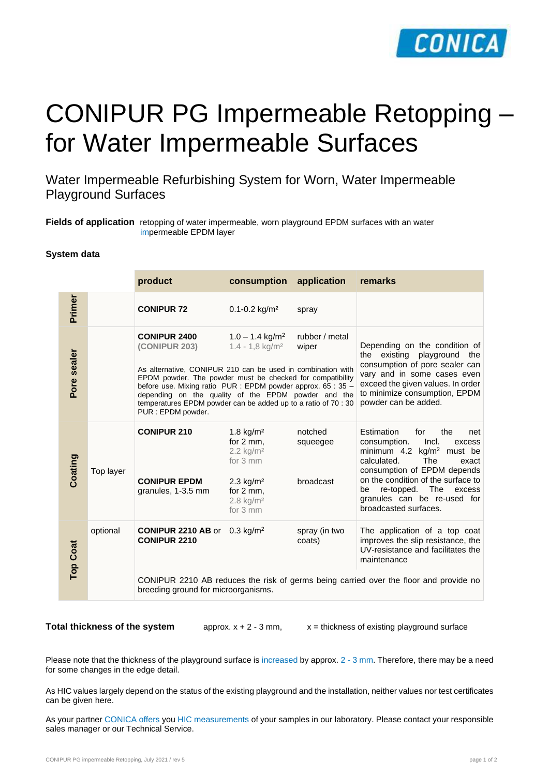

# CONIPUR PG Impermeable Retopping – for Water Impermeable Surfaces

Water Impermeable Refurbishing System for Worn, Water Impermeable Playground Surfaces

**Fields of application** retopping of water impermeable, worn playground EPDM surfaces with an water impermeable EPDM layer

## **System data**

|                 |           | product                                                                                                                                                                                                                                                                                                                                                                                                                                                                      | consumption                                                                                                                                                           | application                      | remarks                                                                                                                                                                                                                                                                                                 |
|-----------------|-----------|------------------------------------------------------------------------------------------------------------------------------------------------------------------------------------------------------------------------------------------------------------------------------------------------------------------------------------------------------------------------------------------------------------------------------------------------------------------------------|-----------------------------------------------------------------------------------------------------------------------------------------------------------------------|----------------------------------|---------------------------------------------------------------------------------------------------------------------------------------------------------------------------------------------------------------------------------------------------------------------------------------------------------|
| Primer          |           | <b>CONIPUR 72</b>                                                                                                                                                                                                                                                                                                                                                                                                                                                            | $0.1 - 0.2$ kg/m <sup>2</sup>                                                                                                                                         | spray                            |                                                                                                                                                                                                                                                                                                         |
| Pore sealer     |           | <b>CONIPUR 2400</b><br>$1.0 - 1.4$ kg/m <sup>2</sup><br>rubber / metal<br>(CONIPUR 203)<br>$1.4 - 1.8$ kg/m <sup>2</sup><br>wiper<br>As alternative, CONIPUR 210 can be used in combination with<br>EPDM powder. The powder must be checked for compatibility<br>before use. Mixing ratio PUR : EPDM powder approx. 65 : 35 -<br>depending on the quality of the EPDM powder and the<br>temperatures EPDM powder can be added up to a ratio of 70 : 30<br>PUR : EPDM powder. |                                                                                                                                                                       |                                  | Depending on the condition of<br>the existing playground the<br>consumption of pore sealer can<br>vary and in some cases even<br>exceed the given values. In order<br>to minimize consumption, EPDM<br>powder can be added.                                                                             |
| Coating         | Top layer | <b>CONIPUR 210</b><br><b>CONIPUR EPDM</b><br>granules, 1-3.5 mm                                                                                                                                                                                                                                                                                                                                                                                                              | 1.8 $kg/m2$<br>for $2 \, \text{mm}$ ,<br>$2.2$ kg/m <sup>2</sup><br>for 3 mm<br>$2.3 \text{ kg/m}^2$<br>for $2 \, \text{mm}$ ,<br>$2.8$ kg/m <sup>2</sup><br>for 3 mm | notched<br>squeegee<br>broadcast | Estimation<br>for<br>the<br>net<br>consumption.<br>Incl.<br>excess<br>minimum 4.2 $\text{kg/m}^2$ must be<br>calculated.<br>The<br>exact<br>consumption of EPDM depends<br>on the condition of the surface to<br>re-topped. The<br>excess<br>be<br>granules can be re-used for<br>broadcasted surfaces. |
| <b>Top Coat</b> | optional  | <b>CONIPUR 2210 AB or</b><br><b>CONIPUR 2210</b><br>breeding ground for microorganisms.                                                                                                                                                                                                                                                                                                                                                                                      | 0.3 kg/m <sup>2</sup>                                                                                                                                                 | spray (in two<br>coats)          | The application of a top coat<br>improves the slip resistance, the<br>UV-resistance and facilitates the<br>maintenance<br>CONIPUR 2210 AB reduces the risk of germs being carried over the floor and provide no                                                                                         |

**Total thickness of the system** approx.  $x + 2 - 3$  mm,  $x =$  thickness of existing playground surface

Please note that the thickness of the playground surface is increased by approx. 2 - 3 mm. Therefore, there may be a need for some changes in the edge detail.

As HIC values largely depend on the status of the existing playground and the installation, neither values nor test certificates can be given here.

As your partner CONICA offers you HIC measurements of your samples in our laboratory. Please contact your responsible sales manager or our Technical Service.